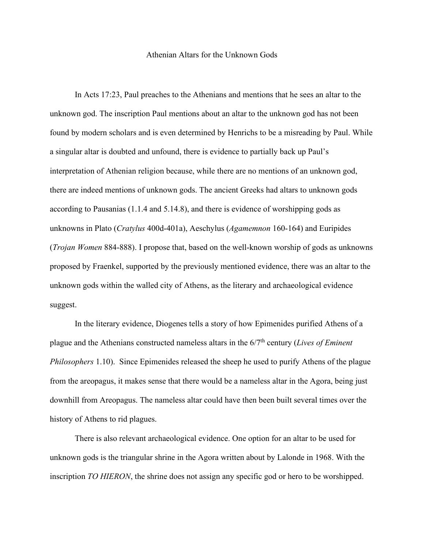## Athenian Altars for the Unknown Gods

In Acts 17:23, Paul preaches to the Athenians and mentions that he sees an altar to the unknown god. The inscription Paul mentions about an altar to the unknown god has not been found by modern scholars and is even determined by Henrichs to be a misreading by Paul. While a singular altar is doubted and unfound, there is evidence to partially back up Paul's interpretation of Athenian religion because, while there are no mentions of an unknown god, there are indeed mentions of unknown gods. The ancient Greeks had altars to unknown gods according to Pausanias (1.1.4 and 5.14.8), and there is evidence of worshipping gods as unknowns in Plato (*Cratylus* 400d-401a), Aeschylus (*Agamemnon* 160-164) and Euripides (*Trojan Women* 884-888). I propose that, based on the well-known worship of gods as unknowns proposed by Fraenkel, supported by the previously mentioned evidence, there was an altar to the unknown gods within the walled city of Athens, as the literary and archaeological evidence suggest.

In the literary evidence, Diogenes tells a story of how Epimenides purified Athens of a plague and the Athenians constructed nameless altars in the 6/7<sup>th</sup> century (*Lives of Eminent Philosophers* 1.10). Since Epimenides released the sheep he used to purify Athens of the plague from the areopagus, it makes sense that there would be a nameless altar in the Agora, being just downhill from Areopagus. The nameless altar could have then been built several times over the history of Athens to rid plagues.

There is also relevant archaeological evidence. One option for an altar to be used for unknown gods is the triangular shrine in the Agora written about by Lalonde in 1968. With the inscription *TO HIERON*, the shrine does not assign any specific god or hero to be worshipped.